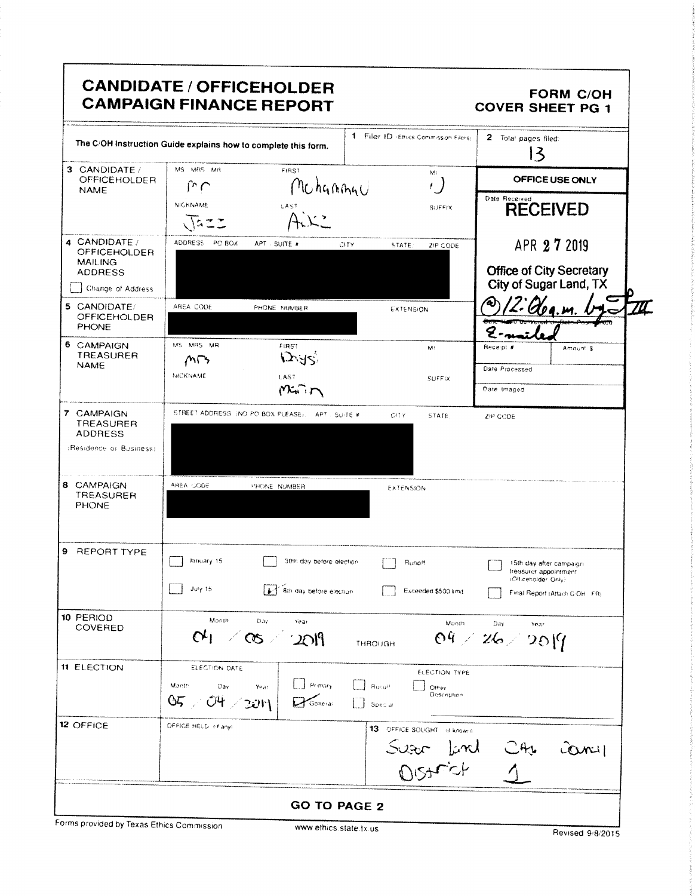|                                           |                                           | <b>CANDIDATE / OFFICEHOLDER</b><br><b>CAMPAIGN FINANCE REPORT</b> |                                       | <b>FORM C/OH</b><br><b>COVER SHEET PG 1</b>           |
|-------------------------------------------|-------------------------------------------|-------------------------------------------------------------------|---------------------------------------|-------------------------------------------------------|
|                                           |                                           | The C/OH Instruction Guide explains how to complete this form.    | 1 Filer ID -Ethics Commission Filers) | 2 Total pages filed:<br>$\mathbf{E}$                  |
| 3 CANDIDATE /<br><b>OFFICEHOLDER</b>      | MS MRS MR                                 | FIRST                                                             | ME<br>, )                             | OFFICE USE ONLY                                       |
| <b>NAME</b>                               | س ري<br><b>NICKNAME</b>                   | Mchannau                                                          |                                       | Date Received                                         |
|                                           |                                           | LAST                                                              | SUFFIX                                | <b>RECEIVED</b>                                       |
| 4 CANDIDATE /<br><b>OFFICEHOLDER</b>      | ADDRESS PO BOX                            | APT - SUITE #<br>CITY                                             | STATE:<br>ZIP CODE                    | APR 27 2019                                           |
| <b>MAILING</b>                            |                                           |                                                                   |                                       | <b>Office of City Secretary</b>                       |
| ADDRESS<br>Change of Address              |                                           |                                                                   |                                       | City of Sugar Land, TX                                |
| 5 CANDIDATE/                              | AREA CODE                                 | PHONE NUMBER                                                      | <b>EXTENSION</b>                      |                                                       |
| <b>OFFICEHOLDER</b><br><b>PHONE</b>       |                                           |                                                                   |                                       |                                                       |
| 6 CAMPAIGN                                | MS MRS MR                                 | FIRST                                                             | M.                                    | Receipt #<br>Amount \$                                |
| <b>TREASURER</b><br><b>NAME</b>           | $M\rightarrow$                            | <b>IJAR)</b>                                                      |                                       | Date Processed                                        |
|                                           | NICKNAME                                  | LAST                                                              | <b>SUFFIX</b>                         |                                                       |
|                                           |                                           |                                                                   |                                       | Date Imaged                                           |
| 7 CAMPAIGN<br>TREASURER                   |                                           | STREET ADDRESS: (NO PO BOX PLEASE), APT . SUITE #                 | CHTY.<br>STATE                        | ZIP CODE                                              |
| <b>ADDRESS</b><br>:Residence or Business) |                                           |                                                                   |                                       |                                                       |
| 8 CAMPAIGN                                | AREA CODE                                 | PHONE NUMBER                                                      | EXTENSION                             |                                                       |
| TREASURER<br><b>PHONE</b>                 |                                           |                                                                   |                                       |                                                       |
| 9 REPORT TYPE                             | January 15                                | 30th day before election                                          | Runott                                | 15th day after campaign.<br>treasurer appointment     |
|                                           | July 15                                   | [1] Bth day before election                                       | Exceeded \$500 limit                  | cofficetiolder Only:<br>Final Report (Attach C-OH FR) |
| 10 PERIOD                                 | Month                                     | Day<br>Year                                                       | Month                                 | Day<br>Year                                           |
| <b>COVERED</b>                            |                                           | $Q_1 \times Q_2 \times 2011$                                      | THROUGH                               | $04 \times 26 \times 20$                              |
| <b>11 ELECTION</b>                        | ELECTION DATE                             |                                                                   | ELECTION TYPE                         |                                                       |
|                                           | Month<br>Day                              | $\Box$ Primary<br>Year                                            | Rucott<br>Other<br>Description        |                                                       |
|                                           | 05 > 04 > 201                             | $\mathbf{P}$ General                                              | Special                               |                                                       |
| <b>12 OFFICE</b>                          | OFFICE HELD (4 any)                       |                                                                   | 13 OFFICE SOUGHT of knowin            |                                                       |
|                                           |                                           |                                                                   |                                       | C                                                     |
|                                           |                                           |                                                                   | Suson Lind<br>District                | CAU<br>1                                              |
|                                           |                                           |                                                                   |                                       |                                                       |
|                                           | Forms provided by Texas Ethics Commission | <b>GO TO PAGE 2</b>                                               |                                       |                                                       |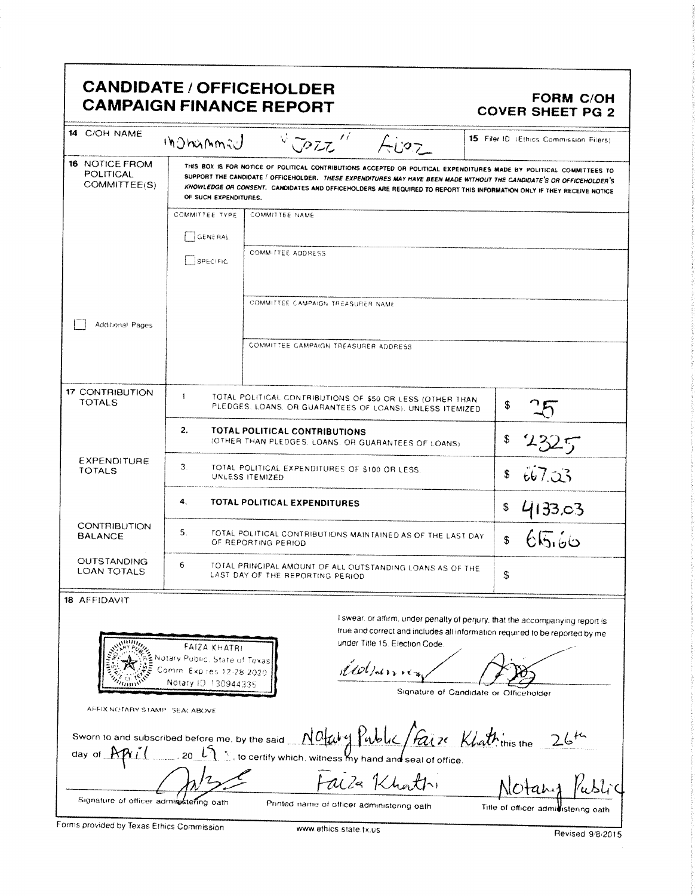| 14 C/OH NAME                                              |                                                                                                          |                                                                                                                                                                                                                                                                                                                                                                         | <b>COVER SHEET PG 2</b>                                                                                                                                                                                |  |  |
|-----------------------------------------------------------|----------------------------------------------------------------------------------------------------------|-------------------------------------------------------------------------------------------------------------------------------------------------------------------------------------------------------------------------------------------------------------------------------------------------------------------------------------------------------------------------|--------------------------------------------------------------------------------------------------------------------------------------------------------------------------------------------------------|--|--|
|                                                           | <b>Indhamad</b>                                                                                          | $\mathcal{L}^{\mathcal{L}}$<br>V JOZZ<br>Aizz                                                                                                                                                                                                                                                                                                                           | 15 Filer ID (Ethics Commission Filers)                                                                                                                                                                 |  |  |
| <b>16 NOTICE FROM</b><br><b>POLITICAL</b><br>COMMITTEE(S) | OF SUCH EXPENDITURES.                                                                                    | THIS BOX IS FOR NOTICE OF POLITICAL CONTRIBUTIONS ACCEPTED OR POLITICAL EXPENDITURES MADE BY POLITICAL COMMITTEES TO<br>SUPPORT THE CANDIDATE / OFFICEHOLDER. THESE EXPENDITURES MAY HAVE BEEN MADE WITHOUT THE CANDIDATE'S OR OFFICEHOLDER'S<br>KNOWLEDGE OR CONSENT. CANDIDATES AND OFFICEHOLDERS ARE REQUIRED TO REPORT THIS INFORMATION ONLY IF THEY RECEIVE NOTICE |                                                                                                                                                                                                        |  |  |
|                                                           | COMMITTEE TYPE                                                                                           | <b>COMMITTEE NAME</b>                                                                                                                                                                                                                                                                                                                                                   |                                                                                                                                                                                                        |  |  |
|                                                           | <b>GENERAL</b>                                                                                           |                                                                                                                                                                                                                                                                                                                                                                         |                                                                                                                                                                                                        |  |  |
|                                                           | SPECIFIC                                                                                                 | <b>COMMITTEE ADDRESS</b>                                                                                                                                                                                                                                                                                                                                                |                                                                                                                                                                                                        |  |  |
|                                                           |                                                                                                          | COMMITTEE CAMPAIGN TREASURER NAME                                                                                                                                                                                                                                                                                                                                       |                                                                                                                                                                                                        |  |  |
| Additional Pages                                          |                                                                                                          | COMMITTEE CAMPAIGN TREASURER ADDRESS                                                                                                                                                                                                                                                                                                                                    |                                                                                                                                                                                                        |  |  |
| 17 CONTRIBUTION<br>TOTALS                                 | $\mathbf{1}$                                                                                             | TOTAL POLITICAL CONTRIBUTIONS OF \$50 OR LESS (OTHER THAN<br>PLEDGES. LOANS. OR GUARANTEES OF LOANS). UNLESS ITEMIZED                                                                                                                                                                                                                                                   | \$                                                                                                                                                                                                     |  |  |
|                                                           | 2.                                                                                                       | TOTAL POLITICAL CONTRIBUTIONS<br>(OTHER THAN PLEDGES, LOANS. OR GUARANTEES OF LOANS)                                                                                                                                                                                                                                                                                    | \$<br>2325                                                                                                                                                                                             |  |  |
| <b>EXPENDITURE</b><br><b>TOTALS</b>                       | З.                                                                                                       | TOTAL POLITICAL EXPENDITURES OF \$100 OR LESS.<br>UNLESS ITEMIZED                                                                                                                                                                                                                                                                                                       | 667.03<br>\$                                                                                                                                                                                           |  |  |
|                                                           | 4.                                                                                                       | TOTAL POLITICAL EXPENDITURES                                                                                                                                                                                                                                                                                                                                            | \$<br>4133.03                                                                                                                                                                                          |  |  |
| CONTRIBUTION<br><b>BALANCE</b>                            | 5.                                                                                                       | TOTAL POLITICAL CONTRIBUTIONS MAINTAINED AS OF THE LAST DAY<br>OF REPORTING PERIOD                                                                                                                                                                                                                                                                                      | 65.66<br>\$                                                                                                                                                                                            |  |  |
| <b>OUTSTANDING</b><br><b>LOAN TOTALS</b>                  | 6.<br>TOTAL PRINCIPAL AMOUNT OF ALL OUTSTANDING LOANS AS OF THE<br>ፍ<br>LAST DAY OF THE REPORTING PERIOD |                                                                                                                                                                                                                                                                                                                                                                         |                                                                                                                                                                                                        |  |  |
| 18 AFFIDAVIT<br>AFFIX NOTARY STAMP. SEALABOVE             | FAIZA KHATRI<br>otary Public, State of Texas<br>omrn. Exp res 12-28-2020<br>Notary ID 130944335          | under Title 15. Election Code.<br>Wolfamer                                                                                                                                                                                                                                                                                                                              | I swear, or affirm, under penalty of perjury, that the accompanying report is<br>true and correct and includes all information required to be reported by me<br>Signature of Candidate or Officeholder |  |  |
| Sworn to and subscribed before me, by the said<br>day of  |                                                                                                          | Notary Public / Faire Khattinis the<br>, to certify which, witness My hand and seal of office                                                                                                                                                                                                                                                                           |                                                                                                                                                                                                        |  |  |
| Signature of officer administering oath                   |                                                                                                          | alla Khatti<br>Printed name of officer administering oath                                                                                                                                                                                                                                                                                                               | Title of officer admittistering oath                                                                                                                                                                   |  |  |

Forms provided by Texas Ethics Commission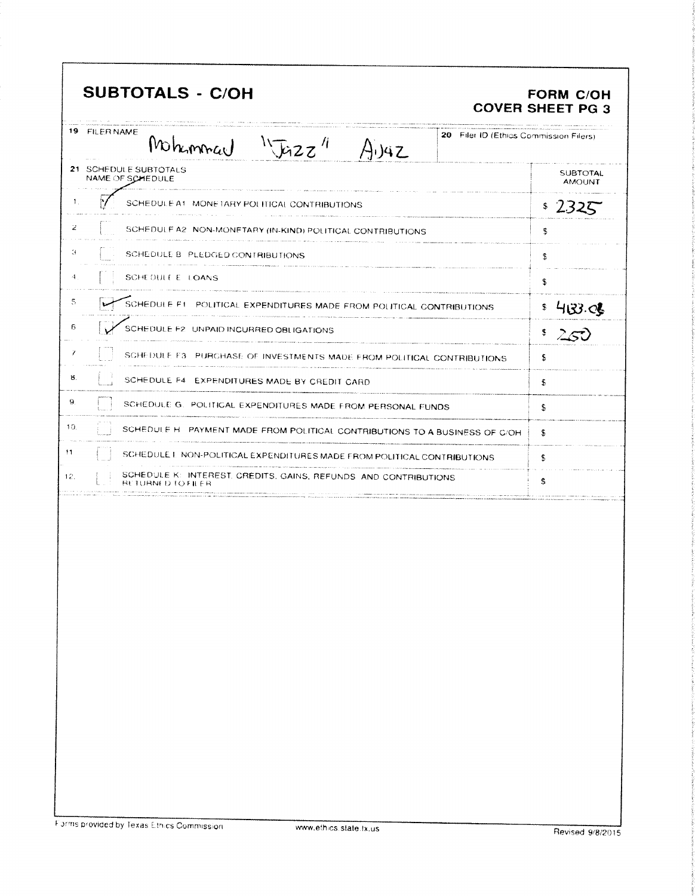|     | <b>SUBTOTALS - C/OH</b>                                                                          | <b>FORM C/OH</b><br><b>COVER SHEET PG 3</b> |
|-----|--------------------------------------------------------------------------------------------------|---------------------------------------------|
|     | 19 FILER NAME<br>20 Filer ID (Ethics Commission Filers)<br>Mahommar $\sqrt{12z}$<br>$A_{1}$ $4Z$ |                                             |
|     | 21 SCHEDULE SUBTOTALS<br>NAME OF SCHEDULE                                                        | <b>SUBTOTAL</b><br><b>AMOUNT</b>            |
| 1.  | SCHEDULE A1: MONETARY POLITICAL CONTRIBUTIONS                                                    | \$2325                                      |
| 2   | SCHEDULE A2 NON-MONETARY (IN-KIND) POLITICAL CONTRIBUTIONS                                       | \$                                          |
| З   | SCHEDULE B PLEDGED CONTRIBUTIONS                                                                 | \$                                          |
| 4.  | SCHEDULE E. LOANS                                                                                | \$                                          |
| 5   | SCHEDULE FI POLITICAL EXPENDITURES MADE FROM POLITICAL CONTRIBUTIONS                             | 403.06                                      |
| 6   | SCHEDULE F2 UNPAID INCURRED OBLIGATIONS                                                          | $2$ $50$                                    |
| 7   | SCHEDULE F3 PURCHASE OF INVESTMENTS MADE FROM POLITICAL CONTRIBUTIONS                            | S                                           |
| 8.  | SCHEDULE F4 EXPENDITURES MADE BY CREDIT CARD                                                     | £                                           |
| 9.  | SCHEDULE G. POLITICAL EXPENDITURES MADE FROM PERSONAL FUNDS                                      | S                                           |
| 10. | SCHEDULE H. PAYMENT MADE FROM POLITICAL CONTRIBUTIONS TO A BUSINESS OF C/OH                      | Ŝ.                                          |
| 11  | SCHEDULE I. NON-POLITICAL EXPENDITURES MADE FROM POLITICAL CONTRIBUTIONS                         | s                                           |
| 12. | SCHEDULE K: INTEREST, CREDITS, GAINS, REFUNDS AND CONTRIBUTIONS<br>RETURNED TO FIL               | S                                           |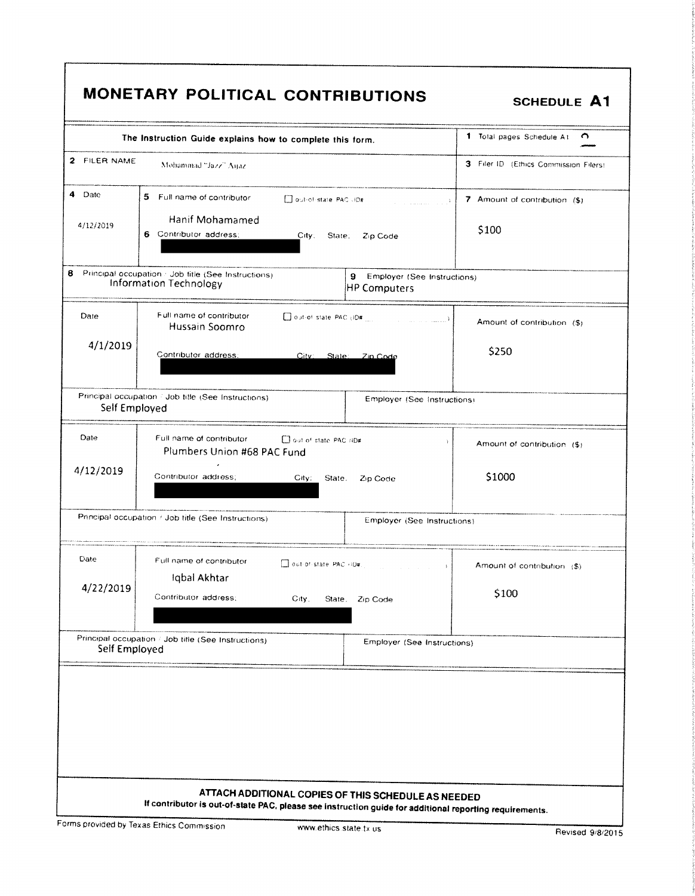|               | The Instruction Guide explains how to complete this form.                            |                                                       | 1 Total pages Schedule At<br>∩              |
|---------------|--------------------------------------------------------------------------------------|-------------------------------------------------------|---------------------------------------------|
| 2 FILER NAME  | Mohammad "Jazz" Aqaz                                                                 | 3 Filer ID (Ethics Commission Filers)                 |                                             |
| 4.<br>Date    | 5 Full name of contributor                                                           | Out-of-state PAC (ID#<br><b>Service Communication</b> | 7 Amount of contribution (\$)               |
| 4/12/2019     | Hanif Mohamamed<br>6 Contributor address;                                            | City;<br>State;<br>Zip Code                           | \$100                                       |
| 8             | Principal occupation / Job fitle (See Instructions)<br><b>Information Technology</b> | 9 Employer (See Instructions)<br>HP Computers         |                                             |
| Date          | Full name of contributor<br>Hussain Soomro                                           |                                                       | Amount of contribution (\$)                 |
| 4/1/2019      | Contributor address:                                                                 | City:<br>State:<br>Zin Code                           | \$250                                       |
| Self Employed | Principal occupation / Job title (See Instructions)                                  | Employer (See Instructions)                           |                                             |
| Date          | Full name of contributor<br>Plumbers Union #68 PAC Fund                              | Dout of state PAC (ID#                                | -7<br>Amount of contribution (\$)           |
| 4/12/2019     | Contributor address:                                                                 | $\text{City}$<br>State.<br>Zip Code                   | \$1000                                      |
|               | Principal occupation / Job title (See Instructions)                                  | Employer (See Instructions)                           |                                             |
| Date          | Full name of contributor<br>Iqbal Akhtar                                             | $\Box$ out-of-state PAC $n\Box x$ , which is a set of | Amount of contribution (\$)<br>$\mathbf{1}$ |
| 4/22/2019     | Contributor address;                                                                 | City.<br>State.<br>Zip Code                           | \$100                                       |
| Self Employed | Principal occupation / Job title (See Instructions)                                  | Employer (See Instructions)                           |                                             |
|               |                                                                                      |                                                       |                                             |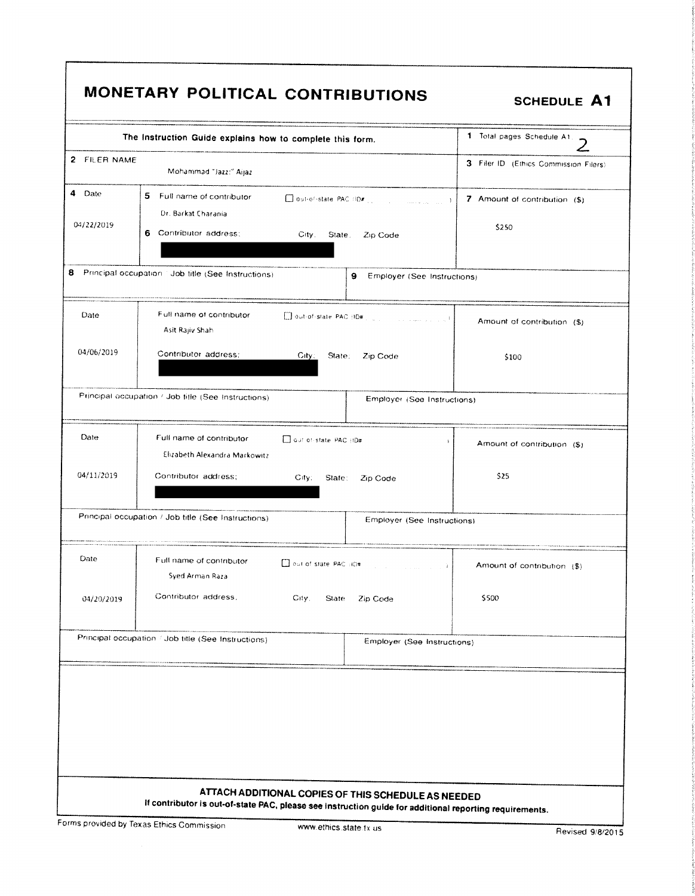|              | The Instruction Guide explains how to complete this form. |                                                                  | 1 Total pages Schedule A1.            |
|--------------|-----------------------------------------------------------|------------------------------------------------------------------|---------------------------------------|
| 2 FILER NAME | Mohammad "Jazz:" Aijaz                                    |                                                                  | 3 Filer ID (Ethics Commission Filers) |
| 4 Date       | 5 Full name of contributor<br>Dr. Barkat Charania         |                                                                  | 7 Amount of contribution (\$)         |
| 04/22/2019   | 6 Contributor address:                                    | City. State.<br>Zip Code                                         | \$250                                 |
| 8            | Principal occupation 1 Job title (See Instructions)       | 9 Employer (See Instructions)                                    |                                       |
| Date         | Full name of contributor<br>Asit Rajiv Shah               |                                                                  | Amount of contribution (\$)           |
| 04/06/2019   | Contributor address:                                      | City:<br>State:<br>Zip Code                                      | \$100                                 |
|              | Principal occupation / Job fitle (See Instructions)       | Employer (See Instructions)                                      |                                       |
| Date         | Full name of contributor<br>Elizabeth Alexandra Markowitz | out of state PAC (ID#<br>j.                                      | Amount of contribution (\$)           |
| 04/11/2019   | Contributor address:                                      | City:<br>State:<br>Zip Code                                      | \$25                                  |
|              | Principal occupation / Job title (See Instructions)       | Employer (See Instructions)                                      |                                       |
| Date         | Full name of contributor<br>Syed Arman Raza               | Dout of state PAC (ID#)<br>and the company of the Company of the | Amount of contribution (\$)           |
| 04/20/2019   | Contributor address,                                      | City.<br>State<br>Zip Code                                       | \$500                                 |
|              | Principal occupation / Job title (See Instructions)       | Employer (See Instructions)                                      |                                       |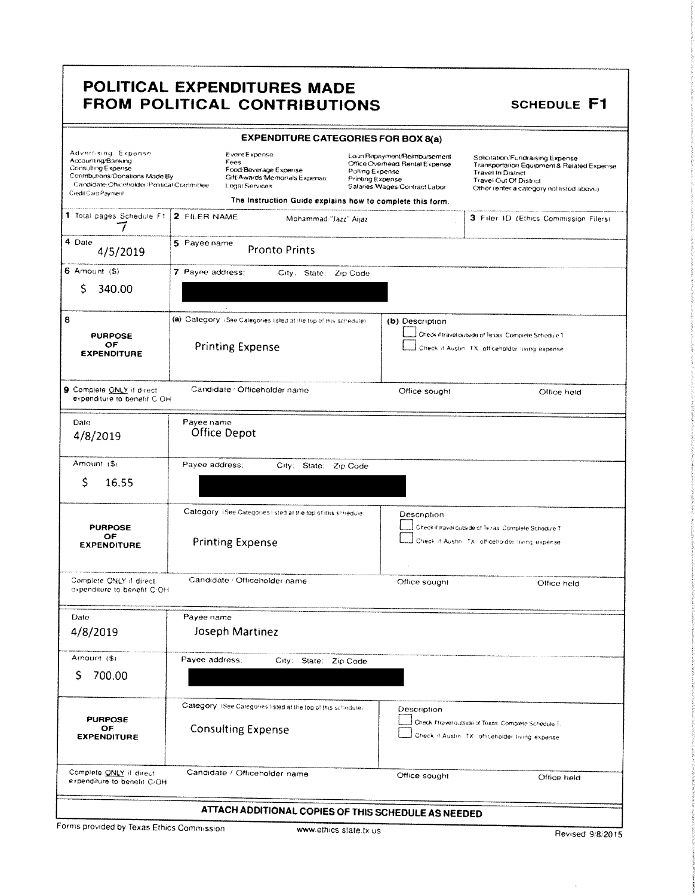|                                                                                                                                                                         | <b>EXPENDITURE CATEGORIES FOR BOX 8(a)</b>                                                                                                                                                                          |                                                                                                                                        |                                                                                                                                                                                    |  |  |
|-------------------------------------------------------------------------------------------------------------------------------------------------------------------------|---------------------------------------------------------------------------------------------------------------------------------------------------------------------------------------------------------------------|----------------------------------------------------------------------------------------------------------------------------------------|------------------------------------------------------------------------------------------------------------------------------------------------------------------------------------|--|--|
| Advertising Expense<br>Accounting/Banking<br>Consulting Expense<br>Contributions/Donations Made By<br>Candidate/Officeholder/Political Committee<br>Credit Card Payment | Event Expense<br>Fees<br>Food/Beverage Experise<br>Gift Awards Memorials Expense<br>Legal Services<br>The Instruction Guide explains how to complete this form.                                                     | Loan Repayment/Reimbursement<br>Office Overhead Rental Expense<br>Polling Expense<br>Printing Expense<br>Salaries Wages/Contract Labor | Solicitation/Fundraising Expense<br>Transportation Equipment & Related Expense<br><b>Travel In District</b><br>Travel Out Of District<br>Other (enter a category not listed above) |  |  |
| 1 Total pages Schedule Ft.                                                                                                                                              | 2 FILER NAME<br>Mohammad "Jazz" Aijaz                                                                                                                                                                               |                                                                                                                                        | 3 Filer ID (Ethics Commission Filers)                                                                                                                                              |  |  |
| 4 Date<br>4/5/2019                                                                                                                                                      | 5 Payee name<br><b>Pronto Prints</b>                                                                                                                                                                                |                                                                                                                                        |                                                                                                                                                                                    |  |  |
| $6$ Amount $(5)$                                                                                                                                                        | 7 Payee address:<br>City. State: Zip Code                                                                                                                                                                           |                                                                                                                                        |                                                                                                                                                                                    |  |  |
| S<br>340.00                                                                                                                                                             |                                                                                                                                                                                                                     |                                                                                                                                        |                                                                                                                                                                                    |  |  |
| 8                                                                                                                                                                       | (a) Category (See Categories listed at the top of this schedule).                                                                                                                                                   | (b) Description                                                                                                                        |                                                                                                                                                                                    |  |  |
| <b>PURPOSE</b><br>ОF<br><b>EXPENDITURE</b>                                                                                                                              | <b>Printing Expense</b>                                                                                                                                                                                             |                                                                                                                                        | Check if travel outside of Texas. Complete Schedule T<br>Check if Austin. TX: officeholder living expense                                                                          |  |  |
| 9 Complete ONLY if direct<br>expenditure to benefit C OH.                                                                                                               | Candidate / Officeholder name                                                                                                                                                                                       | Office sought                                                                                                                          | Office hold                                                                                                                                                                        |  |  |
| Date<br>4/8/2019                                                                                                                                                        | Payee name<br>Office Depot                                                                                                                                                                                          |                                                                                                                                        |                                                                                                                                                                                    |  |  |
| Amount (\$)                                                                                                                                                             | Payee address:<br>City; State; Zip Code                                                                                                                                                                             |                                                                                                                                        |                                                                                                                                                                                    |  |  |
| \$<br>16.55                                                                                                                                                             |                                                                                                                                                                                                                     |                                                                                                                                        |                                                                                                                                                                                    |  |  |
| <b>PURPOSE</b><br>OF<br><b>EXPENDITURE</b>                                                                                                                              | Category (See Categories I sted at the top of this schedule)<br>Description<br>Check if travel outside of Texas, Complete Schedule T<br><b>Printing Expense</b><br>Check if Austin. TX: officeholder living expense |                                                                                                                                        |                                                                                                                                                                                    |  |  |
| Complete ONLY if direct<br>expenditure to benefit C-OH                                                                                                                  | Candidate / Officeholder name                                                                                                                                                                                       | Office sought                                                                                                                          | Office held                                                                                                                                                                        |  |  |
| Date                                                                                                                                                                    | Payee name                                                                                                                                                                                                          |                                                                                                                                        |                                                                                                                                                                                    |  |  |
| 4/8/2019                                                                                                                                                                | Joseph Martinez                                                                                                                                                                                                     |                                                                                                                                        |                                                                                                                                                                                    |  |  |
| Amount (\$)<br>700.00<br>S                                                                                                                                              | Payee address:<br>City: State: Zip Code                                                                                                                                                                             |                                                                                                                                        |                                                                                                                                                                                    |  |  |
| <b>PURPOSE</b><br>OF<br><b>EXPENDITURE</b>                                                                                                                              | Category: (See Categories listed at the fop of this schedule).<br><b>Consulting Expense</b>                                                                                                                         | Description                                                                                                                            | Check if travel outside of Texas. Complete Schedule T.<br>Check if Austin. TX: officeholder living expense.                                                                        |  |  |
| Complete ONLY if direct<br>expenditure to benefit C/OH                                                                                                                  | Candidate / Officeholder name                                                                                                                                                                                       | Office sought                                                                                                                          | Office held                                                                                                                                                                        |  |  |
|                                                                                                                                                                         | ATTACH ADDITIONAL COPIES OF THIS SCHEDULE AS NEEDED                                                                                                                                                                 |                                                                                                                                        |                                                                                                                                                                                    |  |  |

Forms provided by Texas Ethics Commission

 $\bar{\mathcal{A}}$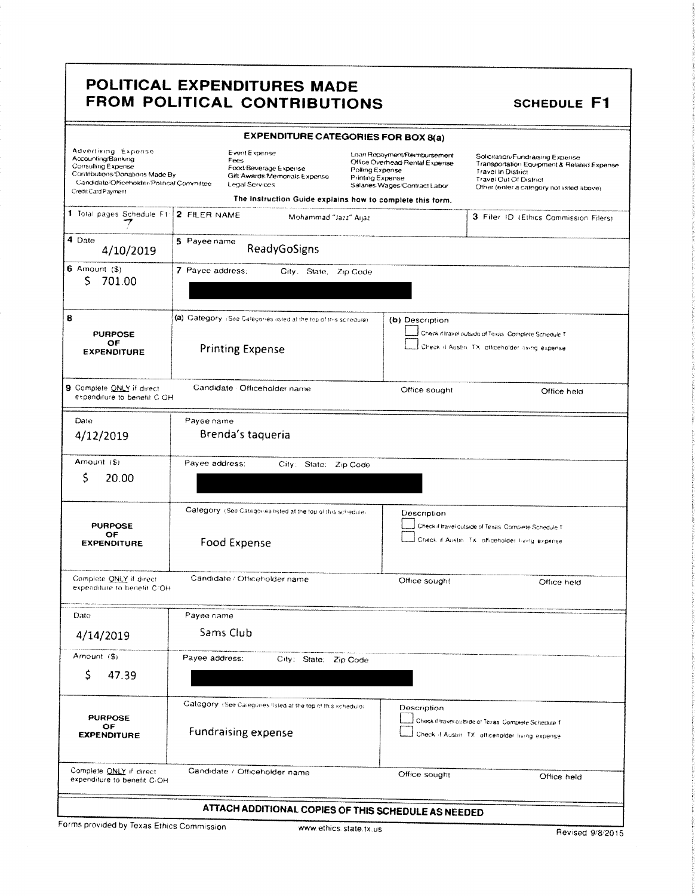|                                                                                                                                                                         | <b>EXPENDITURE CATEGORIES FOR BOX 8(a)</b>                                                       |                                                                                                                                        |                                                                                                                                                                                    |  |  |
|-------------------------------------------------------------------------------------------------------------------------------------------------------------------------|--------------------------------------------------------------------------------------------------|----------------------------------------------------------------------------------------------------------------------------------------|------------------------------------------------------------------------------------------------------------------------------------------------------------------------------------|--|--|
| Advertising Expense<br>Accounting/Banking<br>Consulting Expense<br>Contributions/Donations Made By<br>Candidate/Officeholder/Political Committee<br>Credit Card Payment | Event Expense<br>Fees<br>Food Beverage Expense<br>Gift Awards Memonals Expense<br>Legal Services | Loan Repayment/Reimbursement<br>Office Overhead Rental Expense<br>Polling Expense<br>Printing Expense<br>Salaries Wages/Contract Labor | Solicitation/Fundraising Expense<br>Transportation Equipment & Related Expense<br><b>Travel In District</b><br>Travel Out Of District<br>Other (enter a category not listed above) |  |  |
|                                                                                                                                                                         | The Instruction Guide explains how to complete this form.                                        |                                                                                                                                        |                                                                                                                                                                                    |  |  |
| 1 Total pages Schedule F1                                                                                                                                               | 2 FILER NAME<br>Mohammad "Jazz" Aijaz                                                            |                                                                                                                                        | 3 Filer ID (Ethics Commission Filers)                                                                                                                                              |  |  |
| 4 Date<br>4/10/2019                                                                                                                                                     | 5 Payee name<br>ReadyGoSigns                                                                     |                                                                                                                                        |                                                                                                                                                                                    |  |  |
| 6 Amount $(\$)$<br>S.<br>701.00                                                                                                                                         | 7 Payee address;<br>City. State, Zip Code                                                        |                                                                                                                                        |                                                                                                                                                                                    |  |  |
| 8                                                                                                                                                                       | (a) Category (See Calegories isted at the top of this scriedule)                                 | (b) Description                                                                                                                        |                                                                                                                                                                                    |  |  |
| <b>PURPOSE</b><br>OF<br><b>EXPENDITURE</b>                                                                                                                              | <b>Printing Expense</b>                                                                          |                                                                                                                                        | Check if travel outside of Texas. Complete Schedule T<br>Check if Austin, TX, officeholder living expense                                                                          |  |  |
| 9 Complete ONLY if direct<br>expenditure to benefit C OH                                                                                                                | Candidate Officeholder name                                                                      | Office sought                                                                                                                          | Office held                                                                                                                                                                        |  |  |
| Date                                                                                                                                                                    | Payee name                                                                                       |                                                                                                                                        |                                                                                                                                                                                    |  |  |
| 4/12/2019                                                                                                                                                               | Brenda's taqueria                                                                                |                                                                                                                                        |                                                                                                                                                                                    |  |  |
| Arnount (\$)                                                                                                                                                            | Payee address:<br>City: State: Zip Code                                                          |                                                                                                                                        |                                                                                                                                                                                    |  |  |
| S<br>20.00                                                                                                                                                              |                                                                                                  |                                                                                                                                        |                                                                                                                                                                                    |  |  |
| <b>PURPOSE</b><br>OF<br><b>EXPENDITURE</b>                                                                                                                              | Category (See Categories listed at the top of this schedule)<br>Food Expense                     | Description                                                                                                                            | Check if travel outside of Texas. Complete Schedule T<br>Check if Austin. Tx. officeholder living expense.                                                                         |  |  |
| Complete ONLY if direct<br>expenditure to benefit C/OH                                                                                                                  | Candidate / Officeholder name                                                                    | Office sought                                                                                                                          | Office held                                                                                                                                                                        |  |  |
| Date                                                                                                                                                                    | Payee name                                                                                       |                                                                                                                                        |                                                                                                                                                                                    |  |  |
| 4/14/2019                                                                                                                                                               | Sams Club                                                                                        |                                                                                                                                        |                                                                                                                                                                                    |  |  |
| Amount (\$)                                                                                                                                                             | Payee address:<br>City: State; Zip Code                                                          |                                                                                                                                        |                                                                                                                                                                                    |  |  |
| Ś<br>47.39                                                                                                                                                              |                                                                                                  |                                                                                                                                        |                                                                                                                                                                                    |  |  |
| <b>PURPOSE</b><br>OF<br><b>EXPENDITURE</b>                                                                                                                              | Category: (See Categories listed at the top of this schedule).<br><b>Fundraising expense</b>     | Description                                                                                                                            | Check if travel outside of Texas. Complete Schedule T<br>Check /I Austin: TX: officeholder living expense                                                                          |  |  |
| Complete ONLY if direct<br>expenditure to benefit C/OH                                                                                                                  | Candidate / Officeholder name                                                                    | Office sought                                                                                                                          | Office held                                                                                                                                                                        |  |  |
|                                                                                                                                                                         | ATTACH ADDITIONAL COPIES OF THIS SCHEDULE AS NEEDED                                              |                                                                                                                                        |                                                                                                                                                                                    |  |  |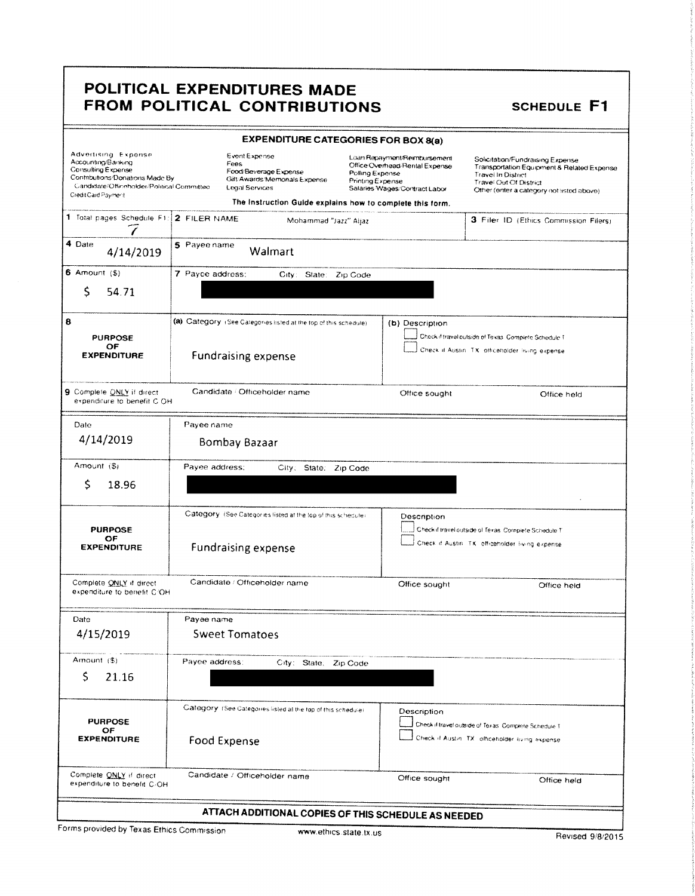| <b>EXPENDITURE CATEGORIES FOR BOX 8(a)</b>                                                                                                                              |                                                                                                          |                                                                                                                                        |                                                                                                                                                                                           |  |  |  |  |  |  |
|-------------------------------------------------------------------------------------------------------------------------------------------------------------------------|----------------------------------------------------------------------------------------------------------|----------------------------------------------------------------------------------------------------------------------------------------|-------------------------------------------------------------------------------------------------------------------------------------------------------------------------------------------|--|--|--|--|--|--|
| Advertising Expense<br>Accounting/Banking<br>Consulting Expense<br>Contributions/Donations Made By<br>Candidate/Officeholder/Political Committee<br>Credit Card Payment | Event Expense<br>Fees<br>Food/Beverage Expense<br>Gift Awards/Memorials Expense<br><b>Legal Services</b> | Loan Repayment/Reimbursement<br>Office Overhead/Rental Expense<br>Polling Expense<br>Printing Expense<br>Salaries Wages/Contract Labor | Solicitation/Fundraising Expense<br>Transportation Equipment & Related Expense<br><b>Travel In District</b><br><b>Travel Out Of District</b><br>Other (enter a category not listed above) |  |  |  |  |  |  |
|                                                                                                                                                                         | The Instruction Guide explains how to complete this form.                                                |                                                                                                                                        |                                                                                                                                                                                           |  |  |  |  |  |  |
| 1 Total pages Schedule F1:                                                                                                                                              | 2 FILER NAME<br>Mohammad "Jazz" Aijaz                                                                    |                                                                                                                                        | 3 Filer ID (Ethics Commission Filers)                                                                                                                                                     |  |  |  |  |  |  |
| 4 Date<br>4/14/2019                                                                                                                                                     | 5 Payee name<br>Walmart                                                                                  |                                                                                                                                        |                                                                                                                                                                                           |  |  |  |  |  |  |
| 6 Amount $($ \$)                                                                                                                                                        | 7 Payce address;<br>City: State: Zip Code                                                                |                                                                                                                                        |                                                                                                                                                                                           |  |  |  |  |  |  |
| Ś<br>54.71                                                                                                                                                              |                                                                                                          |                                                                                                                                        |                                                                                                                                                                                           |  |  |  |  |  |  |
| 8                                                                                                                                                                       | (a) Category (See Calegories listed at the top of this schedule)                                         | (b) Description                                                                                                                        |                                                                                                                                                                                           |  |  |  |  |  |  |
| <b>PURPOSE</b>                                                                                                                                                          |                                                                                                          |                                                                                                                                        | Check if travel outside of Texas. Complete Schedule T                                                                                                                                     |  |  |  |  |  |  |
| OF<br><b>EXPENDITURE</b>                                                                                                                                                | <b>Fundraising expense</b>                                                                               |                                                                                                                                        | Check if Austin. TX: officeholder living expense                                                                                                                                          |  |  |  |  |  |  |
| 9 Complete ONLY if direct<br>expenditure to benefit C OH.                                                                                                               | Candidate / Officeholder name                                                                            | Office sought                                                                                                                          | Office held                                                                                                                                                                               |  |  |  |  |  |  |
| Date                                                                                                                                                                    | Payee name                                                                                               |                                                                                                                                        |                                                                                                                                                                                           |  |  |  |  |  |  |
| 4/14/2019                                                                                                                                                               | Bombay Bazaar                                                                                            |                                                                                                                                        |                                                                                                                                                                                           |  |  |  |  |  |  |
| Amount (\$)                                                                                                                                                             | Payee address:<br>City: State: Zip Code                                                                  |                                                                                                                                        |                                                                                                                                                                                           |  |  |  |  |  |  |
| S<br>18.96                                                                                                                                                              |                                                                                                          |                                                                                                                                        |                                                                                                                                                                                           |  |  |  |  |  |  |
| <b>PURPOSE</b><br>OF<br><b>EXPENDITURE</b>                                                                                                                              | Category (See Categories listed at the top of this schedule)<br><b>Fundraising expense</b>               | Description                                                                                                                            | Check if travel outside of Texas. Complete Schedule T<br>Check if Austin. TX: officeholder living expense                                                                                 |  |  |  |  |  |  |
| Complete ONLY if direct                                                                                                                                                 | Candidate / Officeholder name                                                                            | Office sought                                                                                                                          | Office held                                                                                                                                                                               |  |  |  |  |  |  |
| expenditure to benefit C/OH                                                                                                                                             |                                                                                                          |                                                                                                                                        |                                                                                                                                                                                           |  |  |  |  |  |  |
| Date                                                                                                                                                                    | Payee name                                                                                               |                                                                                                                                        |                                                                                                                                                                                           |  |  |  |  |  |  |
| 4/15/2019                                                                                                                                                               | <b>Sweet Tomatoes</b>                                                                                    |                                                                                                                                        |                                                                                                                                                                                           |  |  |  |  |  |  |
| Amount (\$)                                                                                                                                                             | Payee address:<br>City: State; Zip Code                                                                  |                                                                                                                                        |                                                                                                                                                                                           |  |  |  |  |  |  |
| S<br>21.16                                                                                                                                                              |                                                                                                          |                                                                                                                                        |                                                                                                                                                                                           |  |  |  |  |  |  |
| <b>PURPOSE</b>                                                                                                                                                          | Category (See Calegories listed at the top of this schedule)                                             | Description                                                                                                                            | Check if travel outside of Texas. Complete Schedule T                                                                                                                                     |  |  |  |  |  |  |
| ОF<br><b>EXPENDITURE</b>                                                                                                                                                | Food Expense                                                                                             |                                                                                                                                        | Check if Austin. TX: officeholder living expense                                                                                                                                          |  |  |  |  |  |  |
| Complete ONLY if direct<br>expenditure to benefit C/OH                                                                                                                  | Candidate / Officeholder name                                                                            | Office sought                                                                                                                          | Office held                                                                                                                                                                               |  |  |  |  |  |  |
| ATTACH ADDITIONAL COPIES OF THIS SCHEDULE AS NEEDED                                                                                                                     |                                                                                                          |                                                                                                                                        |                                                                                                                                                                                           |  |  |  |  |  |  |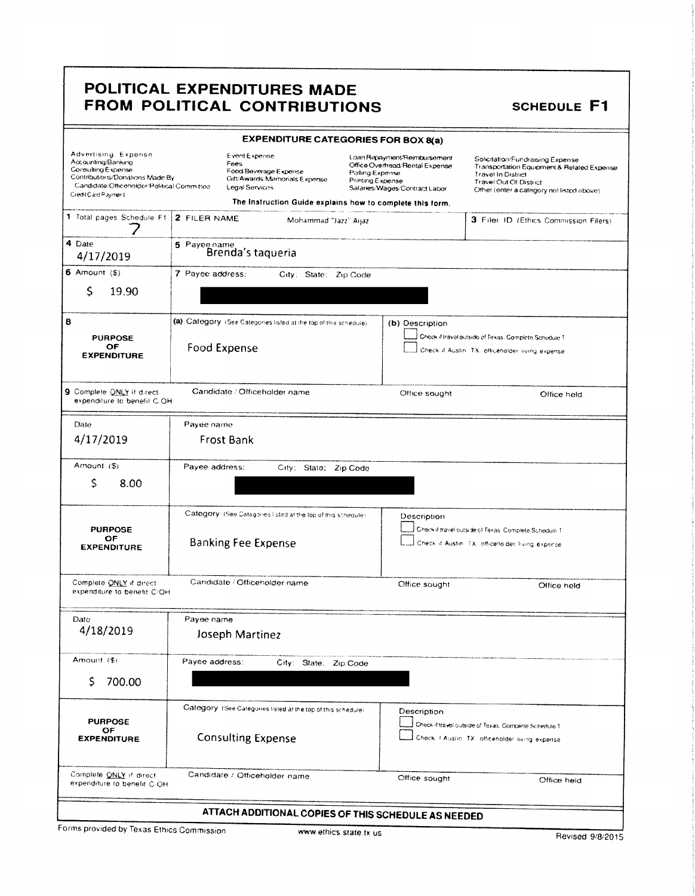| <b>EXPENDITURE CATEGORIES FOR BOX 8(a)</b>                                                                                                                                                                                                                                   |                   |                                                                                |  |                                                                                                                                        |                                                                                                                                      |                                            |  |  |
|------------------------------------------------------------------------------------------------------------------------------------------------------------------------------------------------------------------------------------------------------------------------------|-------------------|--------------------------------------------------------------------------------|--|----------------------------------------------------------------------------------------------------------------------------------------|--------------------------------------------------------------------------------------------------------------------------------------|--------------------------------------------|--|--|
| Advertising Expense<br>Event Expense<br>Accounting/Banking<br>Fees<br>Consulting Expense<br>Food Beverage Expense<br>Contributions/Donations Made By<br>Gift/Awards Memorials Expense<br>Candidate/Officeholder/Political Committee<br>Legal Services<br>Credit Card Payment |                   |                                                                                |  | Loan Repayment/Reimbursement<br>Office Overhead Rental Expense<br>Polling Expense<br>Printing Expense<br>Salaries/Wages/Contract Labor | Solicitation/Fundraising Expense<br><b>Travel In District</b><br>Travel Out Of District<br>Other (enter a category not listed above) | Transportation Equipment & Related Expense |  |  |
|                                                                                                                                                                                                                                                                              |                   | The Instruction Guide explains how to complete this form.                      |  |                                                                                                                                        |                                                                                                                                      |                                            |  |  |
| 1 Total pages Schedule F1.                                                                                                                                                                                                                                                   |                   | 2 FILER NAME<br>3 Filer ID (Ethics Commission Filers)<br>Mohammad "Jazz" Aijaz |  |                                                                                                                                        |                                                                                                                                      |                                            |  |  |
| 4 Date<br>4/17/2019                                                                                                                                                                                                                                                          | 5 Payee name      | Brenda's taqueria                                                              |  |                                                                                                                                        |                                                                                                                                      |                                            |  |  |
| 6 Amount $($ \$)                                                                                                                                                                                                                                                             | 7 Payee address:  | City; State; Zip Code                                                          |  |                                                                                                                                        |                                                                                                                                      |                                            |  |  |
| Ś<br>19.90                                                                                                                                                                                                                                                                   |                   |                                                                                |  |                                                                                                                                        |                                                                                                                                      |                                            |  |  |
| 8                                                                                                                                                                                                                                                                            |                   | (a) Category (See Categories listed at the top of this schedule)               |  | (b) Description                                                                                                                        |                                                                                                                                      |                                            |  |  |
| <b>PURPOSE</b>                                                                                                                                                                                                                                                               |                   |                                                                                |  |                                                                                                                                        | Check if travel outside of Texas. Complete Schedule T                                                                                |                                            |  |  |
| OF<br><b>EXPENDITURE</b>                                                                                                                                                                                                                                                     | Food Expense      |                                                                                |  |                                                                                                                                        | Check if Austin. TX: officeholder living expense                                                                                     |                                            |  |  |
|                                                                                                                                                                                                                                                                              |                   |                                                                                |  |                                                                                                                                        |                                                                                                                                      |                                            |  |  |
| 9 Complete ONLY if direct<br>expenditure to benefit C.OH                                                                                                                                                                                                                     |                   | Candidate / Officeholder name                                                  |  | Office sought                                                                                                                          |                                                                                                                                      | Office held                                |  |  |
| Date                                                                                                                                                                                                                                                                         | Payee name        |                                                                                |  |                                                                                                                                        |                                                                                                                                      |                                            |  |  |
| 4/17/2019                                                                                                                                                                                                                                                                    | <b>Frost Bank</b> |                                                                                |  |                                                                                                                                        |                                                                                                                                      |                                            |  |  |
| Amount (\$)                                                                                                                                                                                                                                                                  | Payee address:    | City: State; Zip Code                                                          |  |                                                                                                                                        |                                                                                                                                      |                                            |  |  |
| \$<br>8.00                                                                                                                                                                                                                                                                   |                   |                                                                                |  |                                                                                                                                        |                                                                                                                                      |                                            |  |  |
| <b>PURPOSE</b>                                                                                                                                                                                                                                                               |                   | Category (See Categories listed at the top of this schedule)                   |  | Description                                                                                                                            | Check if travel outside of Texas, Complete Schedule T                                                                                |                                            |  |  |
| OF<br><b>EXPENDITURE</b>                                                                                                                                                                                                                                                     |                   | <b>Banking Fee Expense</b>                                                     |  |                                                                                                                                        | Check if Austin. TX: officetta.der frang expense.                                                                                    |                                            |  |  |
| Complete ONLY if direct<br>expenditure to benefit C/OH                                                                                                                                                                                                                       |                   | Candidate / Officeholder name                                                  |  | Office sought                                                                                                                          |                                                                                                                                      | Office held                                |  |  |
| Date                                                                                                                                                                                                                                                                         | Payee name        |                                                                                |  |                                                                                                                                        |                                                                                                                                      |                                            |  |  |
| 4/18/2019                                                                                                                                                                                                                                                                    |                   | Joseph Martinez                                                                |  |                                                                                                                                        |                                                                                                                                      |                                            |  |  |
|                                                                                                                                                                                                                                                                              |                   |                                                                                |  |                                                                                                                                        |                                                                                                                                      |                                            |  |  |
| Amount (\$)                                                                                                                                                                                                                                                                  | Payee address:    | City: State: Zip Code                                                          |  |                                                                                                                                        |                                                                                                                                      |                                            |  |  |
| S<br>700.00                                                                                                                                                                                                                                                                  |                   |                                                                                |  |                                                                                                                                        |                                                                                                                                      |                                            |  |  |
| <b>PURPOSE</b>                                                                                                                                                                                                                                                               |                   | Category (See Categories listed at the top of this schedule)                   |  | Description                                                                                                                            |                                                                                                                                      |                                            |  |  |
| OF<br><b>EXPENDITURE</b>                                                                                                                                                                                                                                                     |                   | <b>Consulting Expense</b>                                                      |  |                                                                                                                                        | Check if travel outside of Texas. Complete Schedule T<br>Check if Austin. TX: officeholder living expense                            |                                            |  |  |
|                                                                                                                                                                                                                                                                              |                   |                                                                                |  |                                                                                                                                        |                                                                                                                                      |                                            |  |  |
| Complete ONLY if direct<br>expenditure to benefit C-OH                                                                                                                                                                                                                       |                   | Candidate / Officeholder name                                                  |  | Office sought                                                                                                                          |                                                                                                                                      | Office held                                |  |  |
|                                                                                                                                                                                                                                                                              |                   |                                                                                |  |                                                                                                                                        |                                                                                                                                      |                                            |  |  |
|                                                                                                                                                                                                                                                                              |                   | ATTACH ADDITIONAL COPIES OF THIS SCHEDULE AS NEEDED                            |  |                                                                                                                                        |                                                                                                                                      |                                            |  |  |

Forms provided by Texas Ethics Commission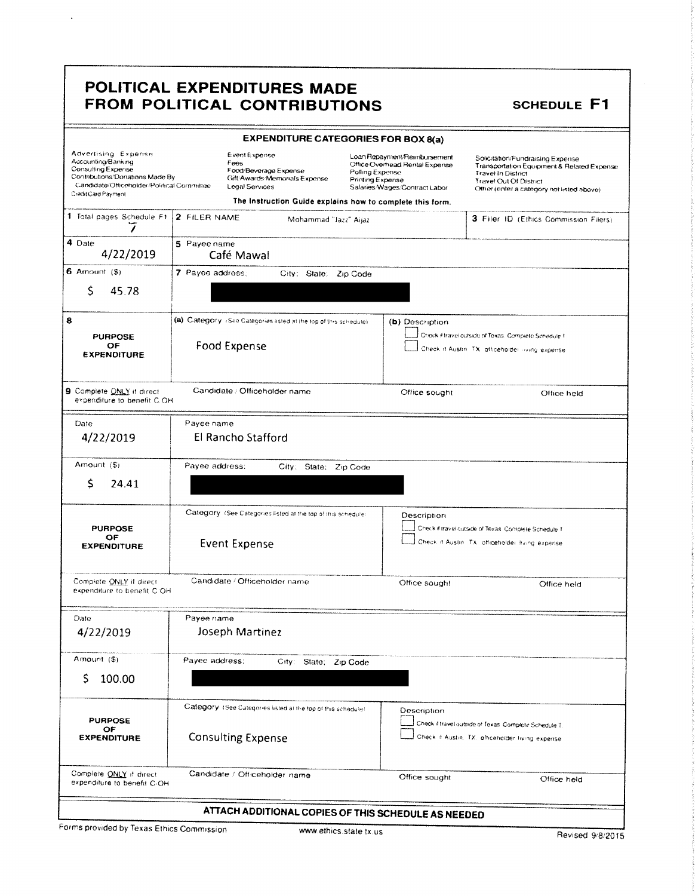$\ddot{\phantom{a}}$ 

| <b>EXPENDITURE CATEGORIES FOR BOX 8(a)</b>                                                                                                                                                                                                                      |                                                                                                                                                                      |                                                                                                                                        |                                                                                                                                                                                    |  |  |  |
|-----------------------------------------------------------------------------------------------------------------------------------------------------------------------------------------------------------------------------------------------------------------|----------------------------------------------------------------------------------------------------------------------------------------------------------------------|----------------------------------------------------------------------------------------------------------------------------------------|------------------------------------------------------------------------------------------------------------------------------------------------------------------------------------|--|--|--|
| Advertising Expense<br>Accounting/Banking<br>Consulting Expense<br>Contributions/Donations Made By<br>Candidate/Officeholder/Political Committee<br>Credit Card Payment                                                                                         | Event Expense<br>Fees<br>Food/Beverage Expense<br>Gift-Awards-Memonals Expense<br><b>Legal Services</b><br>The Instruction Guide explains how to complete this form. | Loan Repayment/Reimbursement<br>Office Overhead Rental Expense<br>Polling Expense<br>Printing Expense<br>Salaries/Wages/Contract Labor | Solicitation/Fundraising Expense<br>Transportation Equipment & Related Expense<br><b>Travel In District</b><br>Travel Out Of District<br>Other (enter a category not listed above) |  |  |  |
| 1 Total pages Schedule F1                                                                                                                                                                                                                                       | 2 FILER NAME<br>3 Filer ID (Ethics Commission Filers)<br>Mohammad "Jazz" Aijaz                                                                                       |                                                                                                                                        |                                                                                                                                                                                    |  |  |  |
| 4 Date<br>4/22/2019                                                                                                                                                                                                                                             | 5 Payee name<br>Café Mawal                                                                                                                                           |                                                                                                                                        |                                                                                                                                                                                    |  |  |  |
| 6 Amount $(S)$<br>Ś<br>45.78                                                                                                                                                                                                                                    | 7 Payee address;<br>City: State: Zip Code                                                                                                                            |                                                                                                                                        |                                                                                                                                                                                    |  |  |  |
| 8<br><b>PURPOSE</b><br>OF<br><b>EXPENDITURE</b>                                                                                                                                                                                                                 | (a) Category (See Categories listed at the top of this schedule)<br>Food Expense                                                                                     | (b) Description                                                                                                                        | Check if travel outside of Texas. Complete Schedule T<br>Check if Austin. TX: atticehalder inving expense                                                                          |  |  |  |
| 9 Complete ONLY if direct<br>expenditure to benefit C.OH                                                                                                                                                                                                        | Candidate / Officeholder name                                                                                                                                        | Office sought                                                                                                                          | Office held                                                                                                                                                                        |  |  |  |
| Date<br>4/22/2019                                                                                                                                                                                                                                               | Payee name<br>El Rancho Stafford                                                                                                                                     |                                                                                                                                        |                                                                                                                                                                                    |  |  |  |
| Amount (\$)<br>Ś<br>24.41                                                                                                                                                                                                                                       | Payee address:<br>City: State; Zip Code                                                                                                                              |                                                                                                                                        |                                                                                                                                                                                    |  |  |  |
| Category (See Categories listed at the top of this schedule)<br>Description<br>Check if travel outside of Texas. Complete Schedule T<br><b>PURPOSE</b><br>OF<br>Check if Austin. TX: officeholder living expense.<br><b>Event Expense</b><br><b>EXPENDITURE</b> |                                                                                                                                                                      |                                                                                                                                        |                                                                                                                                                                                    |  |  |  |
| Complete ONLY if direct<br>expenditure to benefit C OH                                                                                                                                                                                                          | Candidate / Officeholder name                                                                                                                                        | Office sought                                                                                                                          | Office held                                                                                                                                                                        |  |  |  |
| Date<br>4/22/2019                                                                                                                                                                                                                                               | Payee name<br>Joseph Martinez                                                                                                                                        |                                                                                                                                        |                                                                                                                                                                                    |  |  |  |
| Amount (\$)<br>S<br>100.00                                                                                                                                                                                                                                      | Payee address:<br>City: State; Zip Code                                                                                                                              |                                                                                                                                        |                                                                                                                                                                                    |  |  |  |
| <b>PURPOSE</b><br>OF<br><b>EXPENDITURE</b>                                                                                                                                                                                                                      | Category, ISee Categories listed at the top of this schedule!<br><b>Consulting Expense</b>                                                                           | Description                                                                                                                            | Check if travel outside of Texas. Complete Schedule T.<br>Check if Austin, TX, officeholder living expense.                                                                        |  |  |  |
| Complete ONLY if direct<br>expenditure to benefit C-OH                                                                                                                                                                                                          | Candidate / Officeholder name                                                                                                                                        | Office sought                                                                                                                          | Office held                                                                                                                                                                        |  |  |  |
|                                                                                                                                                                                                                                                                 | ATTACH ADDITIONAL COPIES OF THIS SCHEDULE AS NEEDED                                                                                                                  |                                                                                                                                        |                                                                                                                                                                                    |  |  |  |

Forms provided by Texas Ethics Commission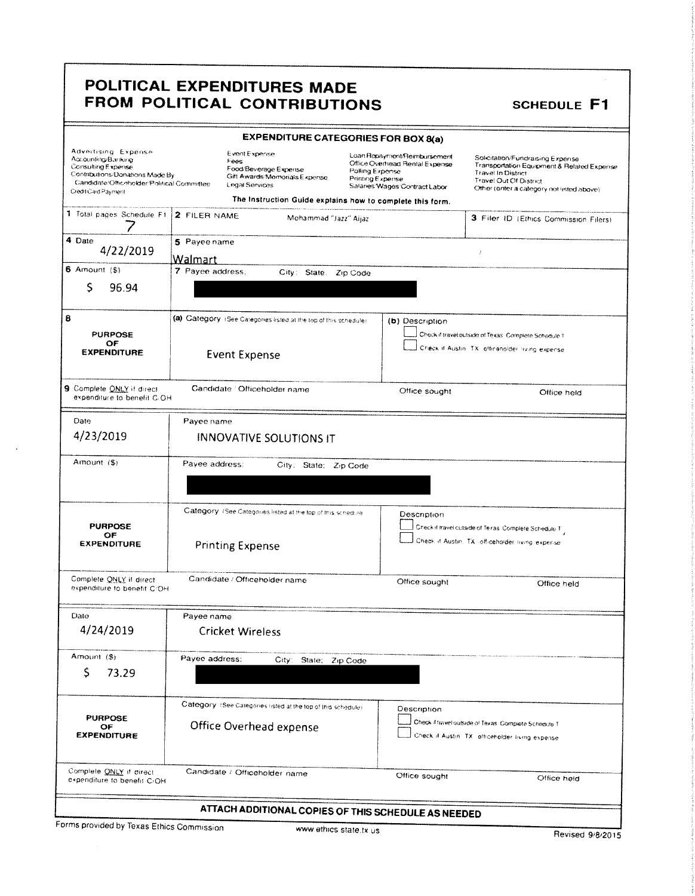|                                                                                                                                                                                                                                                                                                                                                         |                                                                                |                                           | <b>EXPENDITURE CATEGORIES FOR BOX 8(a)</b>                       |                                     |                                                                                                 |                                                                                                             |                                                                                                                             |  |  |
|---------------------------------------------------------------------------------------------------------------------------------------------------------------------------------------------------------------------------------------------------------------------------------------------------------------------------------------------------------|--------------------------------------------------------------------------------|-------------------------------------------|------------------------------------------------------------------|-------------------------------------|-------------------------------------------------------------------------------------------------|-------------------------------------------------------------------------------------------------------------|-----------------------------------------------------------------------------------------------------------------------------|--|--|
| Advertising Expense<br><b>Event Expense</b><br>Accounting/Banking<br>Fees<br><b>Consulting Expense</b><br>Food/Beverage Expense<br>Contributions/Donations Made By<br>Gilt Awards/Memorials Expense<br>Candidate/Officeholder/Political Committee<br>Legal Services<br>Credit Card Payment<br>The Instruction Guide explains how to complete this form. |                                                                                |                                           |                                                                  | Polling Expense<br>Printing Expense | Loan Repayment/Reimbursement<br>Office Overhead Rental Expense<br>Salaries Wages Contract Labor | <b>Travel In District</b><br>Travel Out Of District                                                         | Solicitation/Fundraising Expense<br>Transportation Equipment & Related Expense<br>Other (enter a category not listed above) |  |  |
|                                                                                                                                                                                                                                                                                                                                                         |                                                                                |                                           |                                                                  |                                     |                                                                                                 |                                                                                                             |                                                                                                                             |  |  |
| 1 Total pages Schedule F1                                                                                                                                                                                                                                                                                                                               | 2 FILER NAME                                                                   |                                           | Mohammad "Jazz" Aijaz                                            |                                     |                                                                                                 |                                                                                                             | 3 Filer ID (Ethics Commission Filers)                                                                                       |  |  |
| 4 Date<br>4/22/2019                                                                                                                                                                                                                                                                                                                                     |                                                                                | 5 Payee name<br>$\cal I$<br>Walmart       |                                                                  |                                     |                                                                                                 |                                                                                                             |                                                                                                                             |  |  |
| 6 Amount $($ \$)                                                                                                                                                                                                                                                                                                                                        |                                                                                | 7 Payee address;<br>City: State: Zip Code |                                                                  |                                     |                                                                                                 |                                                                                                             |                                                                                                                             |  |  |
| Ś<br>96.94                                                                                                                                                                                                                                                                                                                                              |                                                                                |                                           |                                                                  |                                     |                                                                                                 |                                                                                                             |                                                                                                                             |  |  |
| 8                                                                                                                                                                                                                                                                                                                                                       |                                                                                |                                           | (a) Category (See Calegories listed at the top of this schedule) |                                     | (b) Description                                                                                 |                                                                                                             |                                                                                                                             |  |  |
| <b>PURPOSE</b>                                                                                                                                                                                                                                                                                                                                          |                                                                                |                                           |                                                                  |                                     |                                                                                                 | Check if travel outside of Texas. Complete Schedule T                                                       |                                                                                                                             |  |  |
| <b>EXPENDITURE</b>                                                                                                                                                                                                                                                                                                                                      | OF<br>Check if Austin, TX, officeholder living expense<br><b>Event Expense</b> |                                           |                                                                  |                                     |                                                                                                 |                                                                                                             |                                                                                                                             |  |  |
| 9 Complete QNLY if direct<br>expenditure to benefit C/OH                                                                                                                                                                                                                                                                                                |                                                                                | Candidate / Officeholder name             |                                                                  |                                     | Office sought                                                                                   |                                                                                                             | Office held                                                                                                                 |  |  |
| Date                                                                                                                                                                                                                                                                                                                                                    | Payee name                                                                     |                                           |                                                                  |                                     |                                                                                                 |                                                                                                             |                                                                                                                             |  |  |
| 4/23/2019                                                                                                                                                                                                                                                                                                                                               |                                                                                |                                           | <b>INNOVATIVE SOLUTIONS IT</b>                                   |                                     |                                                                                                 |                                                                                                             |                                                                                                                             |  |  |
| Amount (\$)                                                                                                                                                                                                                                                                                                                                             | Payee address:<br>City: State: Zip Code                                        |                                           |                                                                  |                                     |                                                                                                 |                                                                                                             |                                                                                                                             |  |  |
|                                                                                                                                                                                                                                                                                                                                                         |                                                                                |                                           |                                                                  |                                     |                                                                                                 |                                                                                                             |                                                                                                                             |  |  |
| <b>PURPOSE</b><br>OF                                                                                                                                                                                                                                                                                                                                    |                                                                                |                                           | Category. (See Categories listed at the top of this schedule     |                                     | Description                                                                                     | Check if travel outside of Texas, Complete Schedule T.<br>Check if Austin. TX: officeholder living expense. |                                                                                                                             |  |  |
| <b>EXPENDITURE</b>                                                                                                                                                                                                                                                                                                                                      |                                                                                | <b>Printing Expense</b>                   |                                                                  |                                     |                                                                                                 |                                                                                                             |                                                                                                                             |  |  |
| Complete ONLY if direct<br>expenditure to benefit C/OH                                                                                                                                                                                                                                                                                                  |                                                                                | Candidate / Officeholder name             |                                                                  |                                     | Office sought                                                                                   |                                                                                                             | Office held                                                                                                                 |  |  |
| Date                                                                                                                                                                                                                                                                                                                                                    | Payee name                                                                     |                                           |                                                                  |                                     |                                                                                                 |                                                                                                             |                                                                                                                             |  |  |
| 4/24/2019                                                                                                                                                                                                                                                                                                                                               |                                                                                | <b>Cricket Wireless</b>                   |                                                                  |                                     |                                                                                                 |                                                                                                             |                                                                                                                             |  |  |
| Amount (\$)<br>\$                                                                                                                                                                                                                                                                                                                                       | Payee address:                                                                 |                                           | City:<br>State:                                                  | Zip Code                            |                                                                                                 |                                                                                                             |                                                                                                                             |  |  |
| 73.29                                                                                                                                                                                                                                                                                                                                                   |                                                                                |                                           |                                                                  |                                     |                                                                                                 |                                                                                                             |                                                                                                                             |  |  |
|                                                                                                                                                                                                                                                                                                                                                         |                                                                                |                                           | Category (See Categories listed at the top of this schedule).    |                                     | Description                                                                                     |                                                                                                             |                                                                                                                             |  |  |
| <b>PURPOSE</b><br>OF                                                                                                                                                                                                                                                                                                                                    |                                                                                | Office Overhead expense                   |                                                                  |                                     |                                                                                                 | Check if travel outside of Texas. Complete Schedule T                                                       |                                                                                                                             |  |  |
| <b>EXPENDITURE</b>                                                                                                                                                                                                                                                                                                                                      |                                                                                |                                           |                                                                  |                                     |                                                                                                 | Check if Austin. TX: officeholder living expense                                                            |                                                                                                                             |  |  |
| Complete ONLY if direct<br>expenditure to benefit C/OH                                                                                                                                                                                                                                                                                                  |                                                                                | Candidate / Officeholder name             |                                                                  |                                     | Office sought                                                                                   |                                                                                                             | Office held                                                                                                                 |  |  |
|                                                                                                                                                                                                                                                                                                                                                         |                                                                                |                                           |                                                                  |                                     | ATTACH ADDITIONAL COPIES OF THIS SCHEDULE AS NEEDED                                             |                                                                                                             |                                                                                                                             |  |  |

Forms provided by Texas Ethics Commission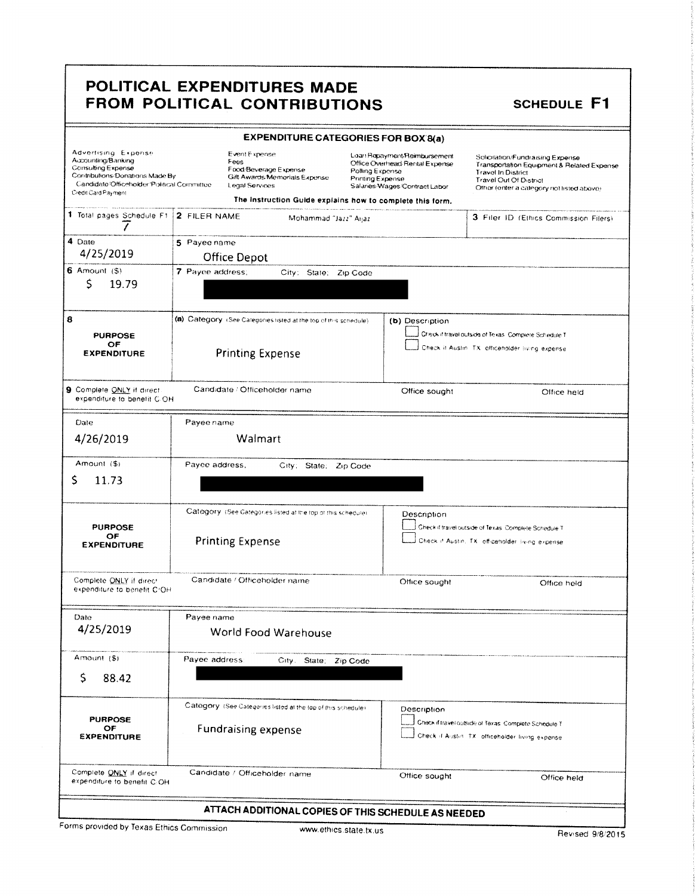|                                                                                                                                                                         | <b>EXPENDITURE CATEGORIES FOR BOX 8(a)</b>                                                                                                                     |                                                                                                                                        |                                                                                                                                                                                    |  |
|-------------------------------------------------------------------------------------------------------------------------------------------------------------------------|----------------------------------------------------------------------------------------------------------------------------------------------------------------|----------------------------------------------------------------------------------------------------------------------------------------|------------------------------------------------------------------------------------------------------------------------------------------------------------------------------------|--|
| Advertising Expense<br>Accounting/Banking<br>Consulting Expense<br>Contributions/Donations Made By<br>Candidate/Officeholder/Political Committee<br>Credit Card Payment | Event Expense<br>Fees<br>Food Beverage Expense<br>Gift Awards Memorials Expense<br>Legal Services<br>The Instruction Guide explains how to complete this form. | Loan Repayment Reimbursement<br>Office Overhead Rental Expense<br>Polling Expense<br>Printing Expense<br>Salaries/Wages/Contract Labor | Solicitation/Fundraising Expense<br>Transportation Equipment & Related Expense<br><b>Travel In District</b><br>Travel Out Of District<br>Other (enter a category not listed above) |  |
| 1 Total pages Schedule F1                                                                                                                                               | 2 FILER NAME<br>Mohammad "Jazz" Aijaz                                                                                                                          |                                                                                                                                        | 3 Filer ID (Ethics Commission Filers)                                                                                                                                              |  |
| 7<br>4 Date<br>4/25/2019                                                                                                                                                | 5 Payee name<br>Office Depot                                                                                                                                   |                                                                                                                                        |                                                                                                                                                                                    |  |
| 6 Amount $($ \$)<br>S<br>19.79                                                                                                                                          | 7 Payee address;<br>City: State: Zip Code                                                                                                                      |                                                                                                                                        |                                                                                                                                                                                    |  |
| 8<br><b>PURPOSE</b><br>OF<br><b>EXPENDITURE</b>                                                                                                                         | (a) Category (See Categories listed at the top of this schedule)<br><b>Printing Expense</b>                                                                    | (b) Description                                                                                                                        | Check if travel outside of Texas. Complete Schedule T<br>Check it Austin. TX: officeholder living expense.                                                                         |  |
| 9 Complete ONLY if direct<br>expenditure to benefit C-OH                                                                                                                | Candidate / Officeholder name                                                                                                                                  | Office sought                                                                                                                          | Office held                                                                                                                                                                        |  |
| Date                                                                                                                                                                    | Payee name                                                                                                                                                     |                                                                                                                                        |                                                                                                                                                                                    |  |
| 4/26/2019                                                                                                                                                               | Walmart                                                                                                                                                        |                                                                                                                                        |                                                                                                                                                                                    |  |
| Amount (\$)<br>S<br>11.73                                                                                                                                               | Payee address,<br>City; State; Zip Code                                                                                                                        |                                                                                                                                        |                                                                                                                                                                                    |  |
| <b>PURPOSE</b><br>OF<br><b>EXPENDITURE</b>                                                                                                                              | Category (See Categories listed at the top of this schedule).<br><b>Printing Expense</b>                                                                       | Description                                                                                                                            | Check if travel outside of Texas. Complete Schedule T<br>Check if Austin, TX: officeholder living expense                                                                          |  |
| Complete ONLY if direct<br>expenditure to benefit CrOH                                                                                                                  | Candidate / Officeholder name                                                                                                                                  | Office sought                                                                                                                          | Office held                                                                                                                                                                        |  |
| Date<br>4/25/2019                                                                                                                                                       | Payee name<br>World Food Warehouse                                                                                                                             |                                                                                                                                        |                                                                                                                                                                                    |  |
| Amount (\$)<br>S<br>88.42                                                                                                                                               | Payee address<br>City. State:<br>Zip Code                                                                                                                      |                                                                                                                                        |                                                                                                                                                                                    |  |
| <b>PURPOSE</b><br>OF<br><b>EXPENDITURE</b>                                                                                                                              | Category (See Categories listed at the top of this schedule)<br><b>Fundraising expense</b>                                                                     | Description                                                                                                                            | Check if travel outside of Texas. Complete Schedule T.<br>Check if Austin. TX: officeholder living expense                                                                         |  |
| Complete ONLY if direct<br>expenditure to benefit C/OH                                                                                                                  | Candidate / Officeholder name                                                                                                                                  | Office sought                                                                                                                          | Office held                                                                                                                                                                        |  |
|                                                                                                                                                                         | ATTACH ADDITIONAL COPIES OF THIS SCHEDULE AS NEEDED                                                                                                            |                                                                                                                                        |                                                                                                                                                                                    |  |

Forms provided by Texas Ethics Commission